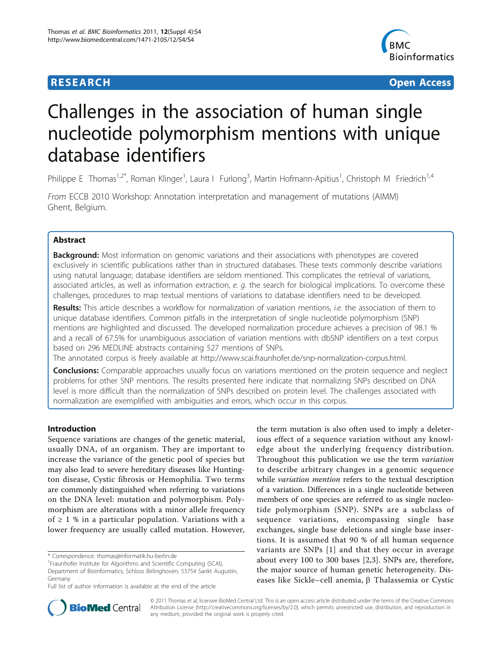# **RESEARCH CONSTRUCTION CONTROL**



# Challenges in the association of human single nucleotide polymorphism mentions with unique database identifiers

Philippe E Thomas<sup>1,2\*</sup>, Roman Klinger<sup>1</sup>, Laura I Furlong<sup>3</sup>, Martin Hofmann-Apitius<sup>1</sup>, Christoph M Friedrich<sup>1,4</sup>

From ECCB 2010 Workshop: Annotation interpretation and management of mutations (AIMM) Ghent, Belgium.

## Abstract

Background: Most information on genomic variations and their associations with phenotypes are covered exclusively in scientific publications rather than in structured databases. These texts commonly describe variations using natural language; database identifiers are seldom mentioned. This complicates the retrieval of variations, associated articles, as well as information extraction, e. g. the search for biological implications. To overcome these challenges, procedures to map textual mentions of variations to database identifiers need to be developed.

Results: This article describes a workflow for normalization of variation mentions, i.e. the association of them to unique database identifiers. Common pitfalls in the interpretation of single nucleotide polymorphism (SNP) mentions are highlighted and discussed. The developed normalization procedure achieves a precision of 98.1 % and a recall of 67.5% for unambiguous association of variation mentions with dbSNP identifiers on a text corpus based on 296 MEDLINE abstracts containing 527 mentions of SNPs.

The annotated corpus is freely available at [http://www.scai.fraunhofer.de/snp-normalization-corpus.html.](http://www.scai.fraunhofer.de/snp-normalization-corpus.html)

**Conclusions:** Comparable approaches usually focus on variations mentioned on the protein sequence and neglect problems for other SNP mentions. The results presented here indicate that normalizing SNPs described on DNA level is more difficult than the normalization of SNPs described on protein level. The challenges associated with normalization are exemplified with ambiguities and errors, which occur in this corpus.

## Introduction

Sequence variations are changes of the genetic material, usually DNA, of an organism. They are important to increase the variance of the genetic pool of species but may also lead to severe hereditary diseases like Huntington disease, Cystic fibrosis or Hemophilia. Two terms are commonly distinguished when referring to variations on the DNA level: mutation and polymorphism. Polymorphism are alterations with a minor allele frequency of  $\geq$  1 % in a particular population. Variations with a lower frequency are usually called mutation. However,

\* Correspondence: [thomas@informatik.hu-berlin.de](mailto:thomas@informatik.hu-berlin.de)

the term mutation is also often used to imply a deleterious effect of a sequence variation without any knowledge about the underlying frequency distribution. Throughout this publication we use the term variation to describe arbitrary changes in a genomic sequence while variation mention refers to the textual description of a variation. Differences in a single nucleotide between members of one species are referred to as single nucleotide polymorphism (SNP). SNPs are a subclass of sequence variations, encompassing single base exchanges, single base deletions and single base insertions. It is assumed that 90 % of all human sequence variants are SNPs [\[1\]](#page-15-0) and that they occur in average about every 100 to 300 bases [[2,3\]](#page-15-0). SNPs are, therefore, the major source of human genetic heterogeneity. Diseases like Sickle–cell anemia,  $\beta$  Thalassemia or Cystic



© 2011 Thomas et al; licensee BioMed Central Ltd. This is an open access article distributed under the terms of the Creative Commons Attribution License [\(http://creativecommons.org/licenses/by/2.0](http://creativecommons.org/licenses/by/2.0)), which permits unrestricted use, distribution, and reproduction in any medium, provided the original work is properly cited.

<sup>&</sup>lt;sup>1</sup> Fraunhofer Institute for Algorithms and Scientific Computing (SCAI), Department of Bioinformatics, Schloss Birlinghoven, 53754 Sankt Augustin, Germany

Full list of author information is available at the end of the article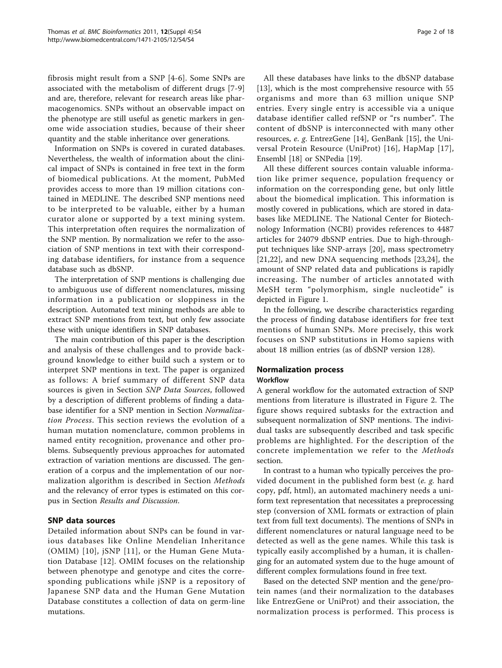fibrosis might result from a SNP [[4-6](#page-15-0)]. Some SNPs are associated with the metabolism of different drugs [[7-9](#page-15-0)] and are, therefore, relevant for research areas like pharmacogenomics. SNPs without an observable impact on the phenotype are still useful as genetic markers in genome wide association studies, because of their sheer quantity and the stable inheritance over generations.

Information on SNPs is covered in curated databases. Nevertheless, the wealth of information about the clinical impact of SNPs is contained in free text in the form of biomedical publications. At the moment, PubMed provides access to more than 19 million citations contained in MEDLINE. The described SNP mentions need to be interpreted to be valuable, either by a human curator alone or supported by a text mining system. This interpretation often requires the normalization of the SNP mention. By normalization we refer to the association of SNP mentions in text with their corresponding database identifiers, for instance from a sequence database such as dbSNP.

The interpretation of SNP mentions is challenging due to ambiguous use of different nomenclatures, missing information in a publication or sloppiness in the description. Automated text mining methods are able to extract SNP mentions from text, but only few associate these with unique identifiers in SNP databases.

The main contribution of this paper is the description and analysis of these challenges and to provide background knowledge to either build such a system or to interpret SNP mentions in text. The paper is organized as follows: A brief summary of different SNP data sources is given in Section SNP Data Sources, followed by a description of different problems of finding a database identifier for a SNP mention in Section Normalization Process. This section reviews the evolution of a human mutation nomenclature, common problems in named entity recognition, provenance and other problems. Subsequently previous approaches for automated extraction of variation mentions are discussed. The generation of a corpus and the implementation of our normalization algorithm is described in Section Methods and the relevancy of error types is estimated on this corpus in Section Results and Discussion.

## SNP data sources

Detailed information about SNPs can be found in various databases like Online Mendelian Inheritance (OMIM) [[10\]](#page-15-0), jSNP [[11\]](#page-15-0), or the Human Gene Mutation Database [[12](#page-15-0)]. OMIM focuses on the relationship between phenotype and genotype and cites the corresponding publications while jSNP is a repository of Japanese SNP data and the Human Gene Mutation Database constitutes a collection of data on germ-line mutations.

All these databases have links to the dbSNP database [[13\]](#page-15-0), which is the most comprehensive resource with 55

organisms and more than 63 million unique SNP entries. Every single entry is accessible via a unique database identifier called refSNP or "rs number". The content of dbSNP is interconnected with many other resources, e. g. EntrezGene [[14](#page-15-0)], GenBank [\[15\]](#page-15-0), the Universal Protein Resource (UniProt) [[16](#page-15-0)], HapMap [[17](#page-15-0)], Ensembl [[18\]](#page-15-0) or SNPedia [[19\]](#page-15-0).

All these different sources contain valuable information like primer sequence, population frequency or information on the corresponding gene, but only little about the biomedical implication. This information is mostly covered in publications, which are stored in databases like MEDLINE. The National Center for Biotechnology Information (NCBI) provides references to 4487 articles for 24079 dbSNP entries. Due to high-throughput techniques like SNP-arrays [[20\]](#page-15-0), mass spectrometry [[21,22](#page-15-0)], and new DNA sequencing methods [[23,](#page-15-0)[24\]](#page-16-0), the amount of SNP related data and publications is rapidly increasing. The number of articles annotated with MeSH term "polymorphism, single nucleotide" is depicted in Figure [1](#page-2-0).

In the following, we describe characteristics regarding the process of finding database identifiers for free text mentions of human SNPs. More precisely, this work focuses on SNP substitutions in Homo sapiens with about 18 million entries (as of dbSNP version 128).

## Normalization process

## Workflow

A general workflow for the automated extraction of SNP mentions from literature is illustrated in Figure [2](#page-3-0). The figure shows required subtasks for the extraction and subsequent normalization of SNP mentions. The individual tasks are subsequently described and task specific problems are highlighted. For the description of the concrete implementation we refer to the Methods section.

In contrast to a human who typically perceives the provided document in the published form best (e. g. hard copy, pdf, html), an automated machinery needs a uniform text representation that necessitates a preprocessing step (conversion of XML formats or extraction of plain text from full text documents). The mentions of SNPs in different nomenclatures or natural language need to be detected as well as the gene names. While this task is typically easily accomplished by a human, it is challenging for an automated system due to the huge amount of different complex formulations found in free text.

Based on the detected SNP mention and the gene/protein names (and their normalization to the databases like EntrezGene or UniProt) and their association, the normalization process is performed. This process is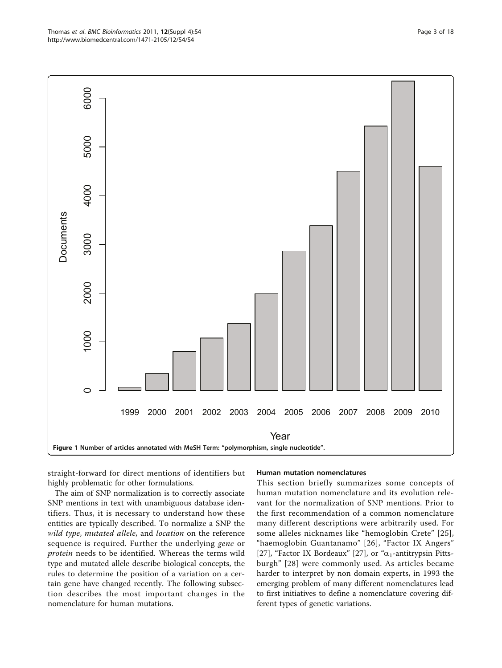<span id="page-2-0"></span>

straight-forward for direct mentions of identifiers but highly problematic for other formulations.

The aim of SNP normalization is to correctly associate SNP mentions in text with unambiguous database identifiers. Thus, it is necessary to understand how these entities are typically described. To normalize a SNP the wild type, mutated allele, and location on the reference sequence is required. Further the underlying gene or protein needs to be identified. Whereas the terms wild type and mutated allele describe biological concepts, the rules to determine the position of a variation on a certain gene have changed recently. The following subsection describes the most important changes in the nomenclature for human mutations.

#### Human mutation nomenclatures

This section briefly summarizes some concepts of human mutation nomenclature and its evolution relevant for the normalization of SNP mentions. Prior to the first recommendation of a common nomenclature many different descriptions were arbitrarily used. For some alleles nicknames like "hemoglobin Crete" [[25\]](#page-16-0), "haemoglobin Guantanamo" [[26\]](#page-16-0), "Factor IX Angers" [[27\]](#page-16-0), "Factor IX Bordeaux" [27], or " $\alpha_1$ -antitrypsin Pittsburgh" [[28](#page-16-0)] were commonly used. As articles became harder to interpret by non domain experts, in 1993 the emerging problem of many different nomenclatures lead to first initiatives to define a nomenclature covering different types of genetic variations.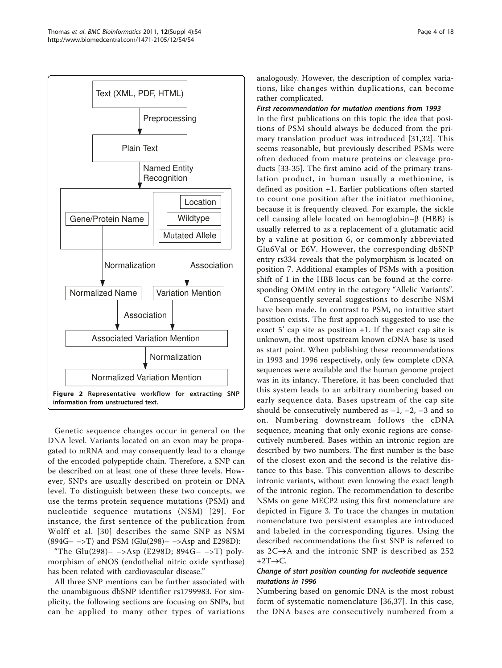<span id="page-3-0"></span>

Genetic sequence changes occur in general on the DNA level. Variants located on an exon may be propagated to mRNA and may consequently lead to a change of the encoded polypeptide chain. Therefore, a SNP can be described on at least one of these three levels. However, SNPs are usually described on protein or DNA level. To distinguish between these two concepts, we use the terms protein sequence mutations (PSM) and nucleotide sequence mutations (NSM) [[29\]](#page-16-0). For instance, the first sentence of the publication from Wolff et al. [[30\]](#page-16-0) describes the same SNP as NSM  $(894G - -\!\!>\!\!T)$  and PSM  $(Glu(298) - -\!\!>\!\!Asp$  and E298D):

"The Glu(298)-  $\rightarrow$ Asp (E298D; 894G-  $\rightarrow$ T) polymorphism of eNOS (endothelial nitric oxide synthase) has been related with cardiovascular disease."

All three SNP mentions can be further associated with the unambiguous dbSNP identifier rs1799983. For simplicity, the following sections are focusing on SNPs, but can be applied to many other types of variations analogously. However, the description of complex variations, like changes within duplications, can become rather complicated.

#### First recommendation for mutation mentions from 1993

In the first publications on this topic the idea that positions of PSM should always be deduced from the primary translation product was introduced [[31,32\]](#page-16-0). This seems reasonable, but previously described PSMs were often deduced from mature proteins or cleavage products [[33-35](#page-16-0)]. The first amino acid of the primary translation product, in human usually a methionine, is defined as position +1. Earlier publications often started to count one position after the initiator methionine, because it is frequently cleaved. For example, the sickle cell causing allele located on hemoglobin– $\beta$  (HBB) is usually referred to as a replacement of a glutamatic acid by a valine at position 6, or commonly abbreviated Glu6Val or E6V. However, the corresponding dbSNP entry rs334 reveals that the polymorphism is located on position 7. Additional examples of PSMs with a position shift of 1 in the HBB locus can be found at the corresponding OMIM entry in the category "Allelic Variants".

Consequently several suggestions to describe NSM have been made. In contrast to PSM, no intuitive start position exists. The first approach suggested to use the exact 5' cap site as position +1. If the exact cap site is unknown, the most upstream known cDNA base is used as start point. When publishing these recommendations in 1993 and 1996 respectively, only few complete cDNA sequences were available and the human genome project was in its infancy. Therefore, it has been concluded that this system leads to an arbitrary numbering based on early sequence data. Bases upstream of the cap site should be consecutively numbered as  $-1$ ,  $-2$ ,  $-3$  and so on. Numbering downstream follows the cDNA sequence, meaning that only exonic regions are consecutively numbered. Bases within an intronic region are described by two numbers. The first number is the base of the closest exon and the second is the relative distance to this base. This convention allows to describe intronic variants, without even knowing the exact length of the intronic region. The recommendation to describe NSMs on gene MECP2 using this first nomenclature are depicted in Figure [3](#page-4-0). To trace the changes in mutation nomenclature two persistent examples are introduced and labeled in the corresponding figures. Using the described recommendations the first SNP is referred to as  $2C \rightarrow A$  and the intronic SNP is described as 252  $+2T\rightarrow C$ .

## Change of start position counting for nucleotide sequence mutations in 1996

Numbering based on genomic DNA is the most robust form of systematic nomenclature [[36,37](#page-16-0)]. In this case, the DNA bases are consecutively numbered from a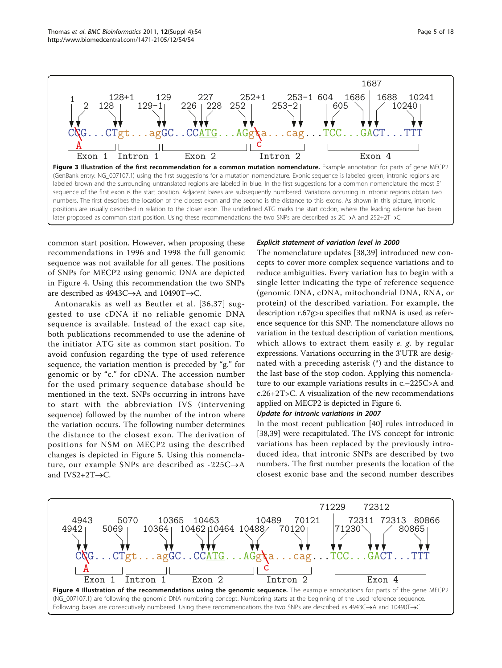<span id="page-4-0"></span>

common start position. However, when proposing these recommendations in 1996 and 1998 the full genomic sequence was not available for all genes. The positions of SNPs for MECP2 using genomic DNA are depicted in Figure 4. Using this recommendation the two SNPs are described as  $4943C \rightarrow A$  and  $10490T \rightarrow C$ .

Antonarakis as well as Beutler et al. [[36,37](#page-16-0)] suggested to use cDNA if no reliable genomic DNA sequence is available. Instead of the exact cap site, both publications recommended to use the adenine of the initiator ATG site as common start position. To avoid confusion regarding the type of used reference sequence, the variation mention is preceded by "g." for genomic or by "c." for cDNA. The accession number for the used primary sequence database should be mentioned in the text. SNPs occurring in introns have to start with the abbreviation IVS (intervening sequence) followed by the number of the intron where the variation occurs. The following number determines the distance to the closest exon. The derivation of positions for NSM on MECP2 using the described changes is depicted in Figure [5.](#page-5-0) Using this nomenclature, our example SNPs are described as -225C $\rightarrow$ A and  $IVS2+2T\rightarrow C$ .

## Explicit statement of variation level in 2000

The nomenclature updates [[38,39](#page-16-0)] introduced new concepts to cover more complex sequence variations and to reduce ambiguities. Every variation has to begin with a single letter indicating the type of reference sequence (genomic DNA, cDNA, mitochondrial DNA, RNA, or protein) of the described variation. For example, the description r.67g>u specifies that mRNA is used as reference sequence for this SNP. The nomenclature allows no variation in the textual description of variation mentions, which allows to extract them easily e. g. by regular expressions. Variations occurring in the 3'UTR are designated with a preceding asterisk (\*) and the distance to the last base of the stop codon. Applying this nomenclature to our example variations results in c.–225C>A and c.26+2T>C. A visualization of the new recommendations applied on MECP2 is depicted in Figure [6](#page-5-0).

## Update for intronic variations in 2007

In the most recent publication [[40](#page-16-0)] rules introduced in [[38,39\]](#page-16-0) were recapitulated. The IVS concept for intronic variations has been replaced by the previously introduced idea, that intronic SNPs are described by two numbers. The first number presents the location of the closest exonic base and the second number describes

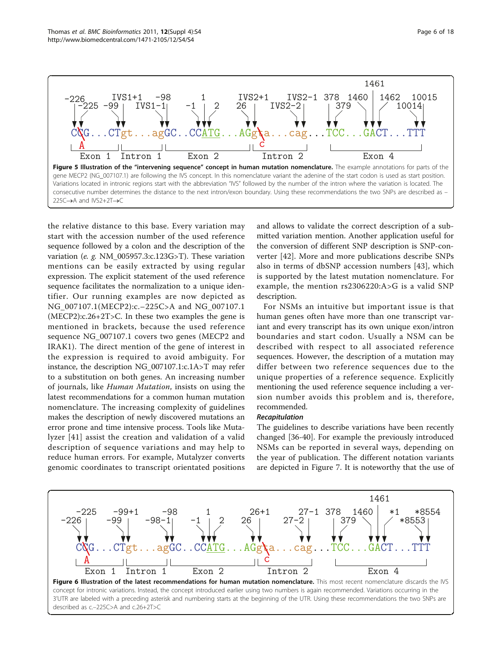<span id="page-5-0"></span>

the relative distance to this base. Every variation may start with the accession number of the used reference sequence followed by a colon and the description of the variation (e. g. NM\_005957.3:c.123G>T). These variation mentions can be easily extracted by using regular expression. The explicit statement of the used reference sequence facilitates the normalization to a unique identifier. Our running examples are now depicted as NG\_007107.1(MECP2):c.–225C>A and NG\_007107.1 (MECP2):c.26+2T>C. In these two examples the gene is mentioned in brackets, because the used reference sequence NG\_007107.1 covers two genes (MECP2 and IRAK1). The direct mention of the gene of interest in the expression is required to avoid ambiguity. For instance, the description NG\_007107.1:c.1A>T may refer to a substitution on both genes. An increasing number of journals, like Human Mutation, insists on using the latest recommendations for a common human mutation nomenclature. The increasing complexity of guidelines makes the description of newly discovered mutations an error prone and time intensive process. Tools like Mutalyzer [\[41\]](#page-16-0) assist the creation and validation of a valid description of sequence variations and may help to reduce human errors. For example, Mutalyzer converts genomic coordinates to transcript orientated positions

and allows to validate the correct description of a submitted variation mention. Another application useful for the conversion of different SNP description is SNP-converter [[42\]](#page-16-0). More and more publications describe SNPs also in terms of dbSNP accession numbers [\[43\]](#page-16-0), which is supported by the latest mutation nomenclature. For example, the mention rs2306220:A>G is a valid SNP description.

For NSMs an intuitive but important issue is that human genes often have more than one transcript variant and every transcript has its own unique exon/intron boundaries and start codon. Usually a NSM can be described with respect to all associated reference sequences. However, the description of a mutation may differ between two reference sequences due to the unique properties of a reference sequence. Explicitly mentioning the used reference sequence including a version number avoids this problem and is, therefore, recommended.

#### Recapitulation

The guidelines to describe variations have been recently changed [\[36](#page-16-0)-[40\]](#page-16-0). For example the previously introduced NSMs can be reported in several ways, depending on the year of publication. The different notation variants are depicted in Figure [7.](#page-6-0) It is noteworthy that the use of

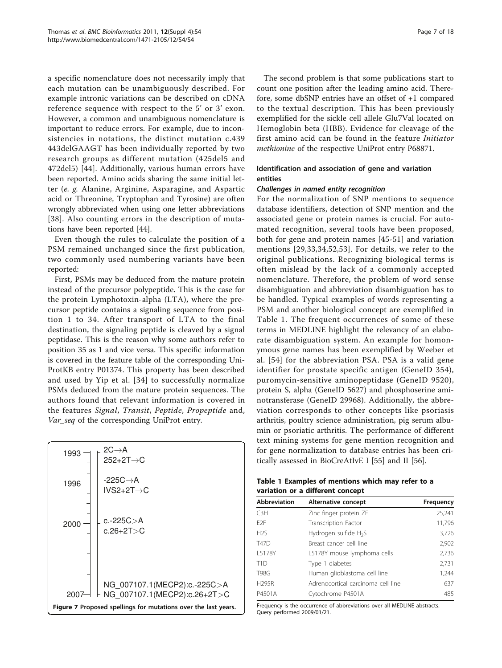<span id="page-6-0"></span>a specific nomenclature does not necessarily imply that each mutation can be unambiguously described. For example intronic variations can be described on cDNA reference sequence with respect to the 5' or 3' exon. However, a common and unambiguous nomenclature is important to reduce errors. For example, due to inconsistencies in notations, the distinct mutation c.439 443delGAAGT has been individually reported by two research groups as different mutation (425del5 and 472del5) [[44\]](#page-16-0). Additionally, various human errors have been reported. Amino acids sharing the same initial letter (e. g. Alanine, Arginine, Asparagine, and Aspartic acid or Threonine, Tryptophan and Tyrosine) are often wrongly abbreviated when using one letter abbreviations [[38](#page-16-0)]. Also counting errors in the description of mutations have been reported [\[44\]](#page-16-0).

Even though the rules to calculate the position of a PSM remained unchanged since the first publication, two commonly used numbering variants have been reported:

First, PSMs may be deduced from the mature protein instead of the precursor polypeptide. This is the case for the protein Lymphotoxin-alpha (LTA), where the precursor peptide contains a signaling sequence from position 1 to 34. After transport of LTA to the final destination, the signaling peptide is cleaved by a signal peptidase. This is the reason why some authors refer to position 35 as 1 and vice versa. This specific information is covered in the feature table of the corresponding Uni-ProtKB entry P01374. This property has been described and used by Yip et al. [[34](#page-16-0)] to successfully normalize PSMs deduced from the mature protein sequences. The authors found that relevant information is covered in the features Signal, Transit, Peptide, Propeptide and, Var\_seq of the corresponding UniProt entry.



The second problem is that some publications start to count one position after the leading amino acid. Therefore, some dbSNP entries have an offset of +1 compared to the textual description. This has been previously exemplified for the sickle cell allele Glu7Val located on Hemoglobin beta (HBB). Evidence for cleavage of the first amino acid can be found in the feature Initiator methionine of the respective UniProt entry P68871.

## Identification and association of gene and variation entities

## Challenges in named entity recognition

For the normalization of SNP mentions to sequence database identifiers, detection of SNP mention and the associated gene or protein names is crucial. For automated recognition, several tools have been proposed, both for gene and protein names [\[45](#page-16-0)-[51](#page-16-0)] and variation mentions [[29,33,34](#page-16-0),[52,53\]](#page-16-0). For details, we refer to the original publications. Recognizing biological terms is often mislead by the lack of a commonly accepted nomenclature. Therefore, the problem of word sense disambiguation and abbreviation disambiguation has to be handled. Typical examples of words representing a PSM and another biological concept are exemplified in Table 1. The frequent occurrences of some of these terms in MEDLINE highlight the relevancy of an elaborate disambiguation system. An example for homonymous gene names has been exemplified by Weeber et al. [[54](#page-16-0)] for the abbreviation PSA. PSA is a valid gene identifier for prostate specific antigen (GeneID 354), puromycin-sensitive aminopeptidase (GeneID 9520), protein S, alpha (GeneID 5627) and phosphoserine aminotransferase (GeneID 29968). Additionally, the abbreviation corresponds to other concepts like psoriasis arthritis, poultry science administration, pig serum albumin or psoriatic arthritis. The performance of different text mining systems for gene mention recognition and for gene normalization to database entries has been critically assessed in BioCreAtIvE I [[55\]](#page-16-0) and II [\[56](#page-16-0)].

| Table 1 Examples of mentions which may refer to a |  |  |
|---------------------------------------------------|--|--|
| variation or a different concept                  |  |  |

| Abbreviation     | Alternative concept                | Frequency |
|------------------|------------------------------------|-----------|
| C3H              | Zinc finger protein ZF             | 25,241    |
| F <sub>2</sub> F | Transcription Factor               | 11,796    |
| H2S              | Hydrogen sulfide H <sub>2</sub> S  | 3,726     |
| <b>T47D</b>      | Breast cancer cell line            | 2,902     |
| L5178Y           | L5178Y mouse lymphoma cells        | 2,736     |
| T <sub>1</sub> D | Type 1 diabetes                    | 2,731     |
| <b>T98G</b>      | Human glioblastoma cell line       | 1,244     |
| <b>H295R</b>     | Adrenocortical carcinoma cell line | 637       |
| P4501A           | Cytochrome P4501A                  | 485       |
|                  |                                    |           |

Frequency is the occurrence of abbreviations over all MEDLINE abstracts. Query performed 2009/01/21.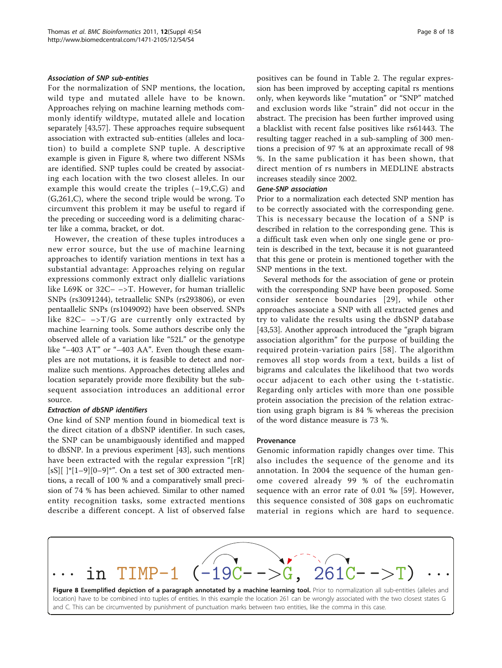#### Association of SNP sub-entities

For the normalization of SNP mentions, the location, wild type and mutated allele have to be known. Approaches relying on machine learning methods commonly identify wildtype, mutated allele and location separately [[43,57\]](#page-16-0). These approaches require subsequent association with extracted sub-entities (alleles and location) to build a complete SNP tuple. A descriptive example is given in Figure 8, where two different NSMs are identified. SNP tuples could be created by associating each location with the two closest alleles. In our example this would create the triples (–19,C,G) and (G,261,C), where the second triple would be wrong. To circumvent this problem it may be useful to regard if the preceding or succeeding word is a delimiting character like a comma, bracket, or dot.

However, the creation of these tuples introduces a new error source, but the use of machine learning approaches to identify variation mentions in text has a substantial advantage: Approaches relying on regular expressions commonly extract only diallelic variations like L69K or 32C– –>T. However, for human triallelic SNPs (rs3091244), tetraallelic SNPs (rs293806), or even pentaallelic SNPs (rs1049092) have been observed. SNPs like  $82C - -\frac{5}{G}$  are currently only extracted by machine learning tools. Some authors describe only the observed allele of a variation like "52L" or the genotype like "–403 AT" or "–403 AA". Even though these examples are not mutations, it is feasible to detect and normalize such mentions. Approaches detecting alleles and location separately provide more flexibility but the subsequent association introduces an additional error source.

#### Extraction of dbSNP identifiers

One kind of SNP mention found in biomedical text is the direct citation of a dbSNP identifier. In such cases, the SNP can be unambiguously identified and mapped to dbSNP. In a previous experiment [\[43\]](#page-16-0), such mentions have been extracted with the regular expression "[rR] [sS][  $]$ <sup>\*</sup>[1–9][0–9]<sup>\*</sup>". On a test set of 300 extracted mentions, a recall of 100 % and a comparatively small precision of 74 % has been achieved. Similar to other named entity recognition tasks, some extracted mentions describe a different concept. A list of observed false

positives can be found in Table [2](#page-8-0). The regular expression has been improved by accepting capital rs mentions only, when keywords like "mutation" or "SNP" matched and exclusion words like "strain" did not occur in the abstract. The precision has been further improved using a blacklist with recent false positives like rs61443. The resulting tagger reached in a sub-sampling of 300 mentions a precision of 97 % at an approximate recall of 98 %. In the same publication it has been shown, that direct mention of rs numbers in MEDLINE abstracts increases steadily since 2002.

## Gene-SNP association

Prior to a normalization each detected SNP mention has to be correctly associated with the corresponding gene. This is necessary because the location of a SNP is described in relation to the corresponding gene. This is a difficult task even when only one single gene or protein is described in the text, because it is not guaranteed that this gene or protein is mentioned together with the SNP mentions in the text.

Several methods for the association of gene or protein with the corresponding SNP have been proposed. Some consider sentence boundaries [[29](#page-16-0)], while other approaches associate a SNP with all extracted genes and try to validate the results using the dbSNP database [[43,53\]](#page-16-0). Another approach introduced the "graph bigram association algorithm" for the purpose of building the required protein-variation pairs [[58\]](#page-16-0). The algorithm removes all stop words from a text, builds a list of bigrams and calculates the likelihood that two words occur adjacent to each other using the t-statistic. Regarding only articles with more than one possible protein association the precision of the relation extraction using graph bigram is 84 % whereas the precision of the word distance measure is 73 %.

#### Provenance

Genomic information rapidly changes over time. This also includes the sequence of the genome and its annotation. In 2004 the sequence of the human genome covered already 99 % of the euchromatin sequence with an error rate of 0.01 ‰ [[59](#page-16-0)]. However, this sequence consisted of 308 gaps on euchromatic material in regions which are hard to sequence.

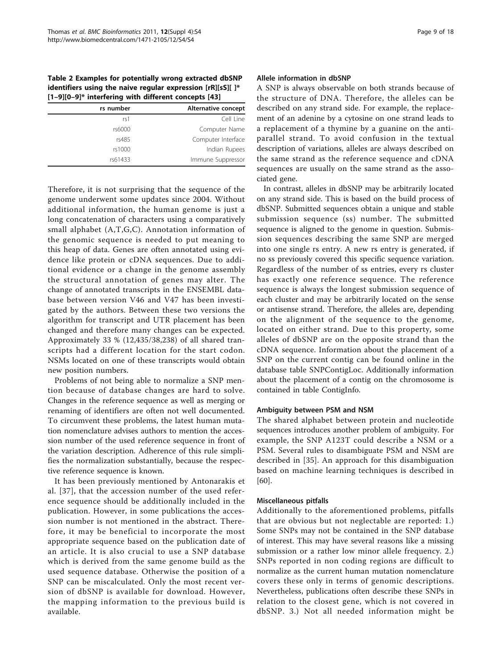<span id="page-8-0"></span>Table 2 Examples for potentially wrong extracted dbSNP identifiers using the naive regular expression [rR][sS][ ]\* [1–9][0–9]\* interfering with different concepts [\[43](#page-16-0)]

| Alternative concept | rs number |
|---------------------|-----------|
| Cell Line           | rs1       |
| Computer Name       | rs6000    |
| Computer Interface  | rs485     |
| Indian Rupees       | rs1000    |
| Immune Suppressor   | rs61433   |

Therefore, it is not surprising that the sequence of the genome underwent some updates since 2004. Without additional information, the human genome is just a long concatenation of characters using a comparatively small alphabet (A,T,G,C). Annotation information of the genomic sequence is needed to put meaning to this heap of data. Genes are often annotated using evidence like protein or cDNA sequences. Due to additional evidence or a change in the genome assembly the structural annotation of genes may alter. The change of annotated transcripts in the ENSEMBL database between version V46 and V47 has been investigated by the authors. Between these two versions the algorithm for transcript and UTR placement has been changed and therefore many changes can be expected. Approximately 33 % (12,435/38,238) of all shared transcripts had a different location for the start codon. NSMs located on one of these transcripts would obtain new position numbers.

Problems of not being able to normalize a SNP mention because of database changes are hard to solve. Changes in the reference sequence as well as merging or renaming of identifiers are often not well documented. To circumvent these problems, the latest human mutation nomenclature advises authors to mention the accession number of the used reference sequence in front of the variation description. Adherence of this rule simplifies the normalization substantially, because the respective reference sequence is known.

It has been previously mentioned by Antonarakis et al. [[37](#page-16-0)], that the accession number of the used reference sequence should be additionally included in the publication. However, in some publications the accession number is not mentioned in the abstract. Therefore, it may be beneficial to incorporate the most appropriate sequence based on the publication date of an article. It is also crucial to use a SNP database which is derived from the same genome build as the used sequence database. Otherwise the position of a SNP can be miscalculated. Only the most recent version of dbSNP is available for download. However, the mapping information to the previous build is available.

#### Allele information in dbSNP

A SNP is always observable on both strands because of the structure of DNA. Therefore, the alleles can be described on any strand side. For example, the replacement of an adenine by a cytosine on one strand leads to a replacement of a thymine by a guanine on the antiparallel strand. To avoid confusion in the textual description of variations, alleles are always described on the same strand as the reference sequence and cDNA sequences are usually on the same strand as the associated gene.

In contrast, alleles in dbSNP may be arbitrarily located on any strand side. This is based on the build process of dbSNP. Submitted sequences obtain a unique and stable submission sequence (ss) number. The submitted sequence is aligned to the genome in question. Submission sequences describing the same SNP are merged into one single rs entry. A new rs entry is generated, if no ss previously covered this specific sequence variation. Regardless of the number of ss entries, every rs cluster has exactly one reference sequence. The reference sequence is always the longest submission sequence of each cluster and may be arbitrarily located on the sense or antisense strand. Therefore, the alleles are, depending on the alignment of the sequence to the genome, located on either strand. Due to this property, some alleles of dbSNP are on the opposite strand than the cDNA sequence. Information about the placement of a SNP on the current contig can be found online in the database table SNPContigLoc. Additionally information about the placement of a contig on the chromosome is contained in table ContigInfo.

#### Ambiguity between PSM and NSM

The shared alphabet between protein and nucleotide sequences introduces another problem of ambiguity. For example, the SNP A123T could describe a NSM or a PSM. Several rules to disambiguate PSM and NSM are described in [[35](#page-16-0)]. An approach for this disambiguation based on machine learning techniques is described in [[60\]](#page-16-0).

## Miscellaneous pitfalls

Additionally to the aforementioned problems, pitfalls that are obvious but not neglectable are reported: 1.) Some SNPs may not be contained in the SNP database of interest. This may have several reasons like a missing submission or a rather low minor allele frequency. 2.) SNPs reported in non coding regions are difficult to normalize as the current human mutation nomenclature covers these only in terms of genomic descriptions. Nevertheless, publications often describe these SNPs in relation to the closest gene, which is not covered in dbSNP. 3.) Not all needed information might be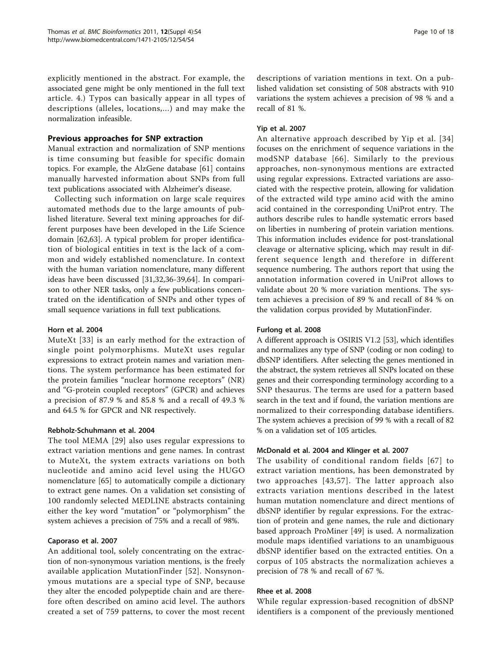explicitly mentioned in the abstract. For example, the associated gene might be only mentioned in the full text article. 4.) Typos can basically appear in all types of descriptions (alleles, locations,…) and may make the normalization infeasible.

## Previous approaches for SNP extraction

Manual extraction and normalization of SNP mentions is time consuming but feasible for specific domain topics. For example, the AlzGene database [[61\]](#page-16-0) contains manually harvested information about SNPs from full text publications associated with Alzheimer's disease.

Collecting such information on large scale requires automated methods due to the large amounts of published literature. Several text mining approaches for different purposes have been developed in the Life Science domain [\[62,63](#page-16-0)]. A typical problem for proper identification of biological entities in text is the lack of a common and widely established nomenclature. In context with the human variation nomenclature, many different ideas have been discussed [[31,32,36](#page-16-0)-[39,64\]](#page-16-0). In comparison to other NER tasks, only a few publications concentrated on the identification of SNPs and other types of small sequence variations in full text publications.

## Horn et al. 2004

MuteXt [\[33\]](#page-16-0) is an early method for the extraction of single point polymorphisms. MuteXt uses regular expressions to extract protein names and variation mentions. The system performance has been estimated for the protein families "nuclear hormone receptors" (NR) and "G-protein coupled receptors" (GPCR) and achieves a precision of 87.9 % and 85.8 % and a recall of 49.3 % and 64.5 % for GPCR and NR respectively.

## Rebholz-Schuhmann et al. 2004

The tool MEMA [[29](#page-16-0)] also uses regular expressions to extract variation mentions and gene names. In contrast to MuteXt, the system extracts variations on both nucleotide and amino acid level using the HUGO nomenclature [[65\]](#page-16-0) to automatically compile a dictionary to extract gene names. On a validation set consisting of 100 randomly selected MEDLINE abstracts containing either the key word "mutation" or "polymorphism" the system achieves a precision of 75% and a recall of 98%.

## Caporaso et al. 2007

An additional tool, solely concentrating on the extraction of non-synonymous variation mentions, is the freely available application MutationFinder [[52\]](#page-16-0). Nonsynonymous mutations are a special type of SNP, because they alter the encoded polypeptide chain and are therefore often described on amino acid level. The authors created a set of 759 patterns, to cover the most recent descriptions of variation mentions in text. On a published validation set consisting of 508 abstracts with 910 variations the system achieves a precision of 98 % and a recall of 81 %.

## Yip et al. 2007

An alternative approach described by Yip et al. [[34](#page-16-0)] focuses on the enrichment of sequence variations in the modSNP database [[66](#page-16-0)]. Similarly to the previous approaches, non-synonymous mentions are extracted using regular expressions. Extracted variations are associated with the respective protein, allowing for validation of the extracted wild type amino acid with the amino acid contained in the corresponding UniProt entry. The authors describe rules to handle systematic errors based on liberties in numbering of protein variation mentions. This information includes evidence for post-translational cleavage or alternative splicing, which may result in different sequence length and therefore in different sequence numbering. The authors report that using the annotation information covered in UniProt allows to validate about 20 % more variation mentions. The system achieves a precision of 89 % and recall of 84 % on the validation corpus provided by MutationFinder.

## Furlong et al. 2008

A different approach is OSIRIS V1.2 [[53](#page-16-0)], which identifies and normalizes any type of SNP (coding or non coding) to dbSNP identifiers. After selecting the genes mentioned in the abstract, the system retrieves all SNPs located on these genes and their corresponding terminology according to a SNP thesaurus. The terms are used for a pattern based search in the text and if found, the variation mentions are normalized to their corresponding database identifiers. The system achieves a precision of 99 % with a recall of 82 % on a validation set of 105 articles.

## McDonald et al. 2004 and Klinger et al. 2007

The usability of conditional random fields [[67\]](#page-16-0) to extract variation mentions, has been demonstrated by two approaches [[43,57](#page-16-0)]. The latter approach also extracts variation mentions described in the latest human mutation nomenclature and direct mentions of dbSNP identifier by regular expressions. For the extraction of protein and gene names, the rule and dictionary based approach ProMiner [[49\]](#page-16-0) is used. A normalization module maps identified variations to an unambiguous dbSNP identifier based on the extracted entities. On a corpus of 105 abstracts the normalization achieves a precision of 78 % and recall of 67 %.

## Rhee et al. 2008

While regular expression-based recognition of dbSNP identifiers is a component of the previously mentioned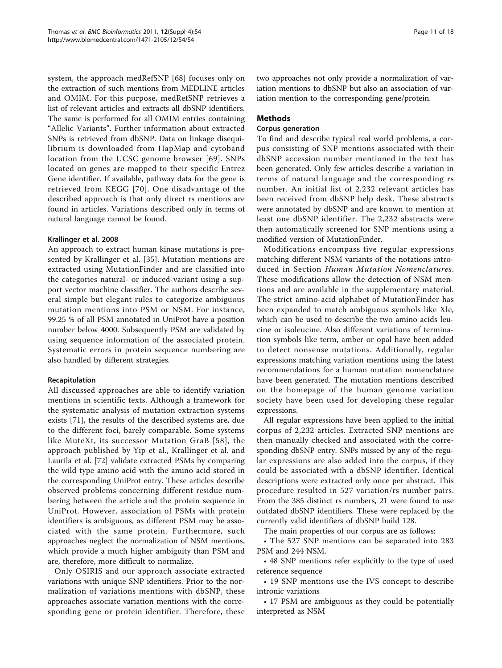system, the approach medRefSNP [\[68](#page-16-0)] focuses only on the extraction of such mentions from MEDLINE articles and OMIM. For this purpose, medRefSNP retrieves a list of relevant articles and extracts all dbSNP identifiers. The same is performed for all OMIM entries containing "Allelic Variants". Further information about extracted SNPs is retrieved from dbSNP. Data on linkage disequilibrium is downloaded from HapMap and cytoband location from the UCSC genome browser [[69](#page-16-0)]. SNPs located on genes are mapped to their specific Entrez Gene identifier. If available, pathway data for the gene is retrieved from KEGG [[70](#page-16-0)]. One disadvantage of the described approach is that only direct rs mentions are found in articles. Variations described only in terms of natural language cannot be found.

#### Krallinger et al. 2008

An approach to extract human kinase mutations is presented by Krallinger et al. [\[35\]](#page-16-0). Mutation mentions are extracted using MutationFinder and are classified into the categories natural- or induced-variant using a support vector machine classifier. The authors describe several simple but elegant rules to categorize ambiguous mutation mentions into PSM or NSM. For instance, 99.25 % of all PSM annotated in UniProt have a position number below 4000. Subsequently PSM are validated by using sequence information of the associated protein. Systematic errors in protein sequence numbering are also handled by different strategies.

#### Recapitulation

All discussed approaches are able to identify variation mentions in scientific texts. Although a framework for the systematic analysis of mutation extraction systems exists [\[71](#page-17-0)], the results of the described systems are, due to the different foci, barely comparable. Some systems like MuteXt, its successor Mutation GraB [[58\]](#page-16-0), the approach published by Yip et al., Krallinger et al. and Laurila et al. [\[72\]](#page-17-0) validate extracted PSMs by comparing the wild type amino acid with the amino acid stored in the corresponding UniProt entry. These articles describe observed problems concerning different residue numbering between the article and the protein sequence in UniProt. However, association of PSMs with protein identifiers is ambiguous, as different PSM may be associated with the same protein. Furthermore, such approaches neglect the normalization of NSM mentions, which provide a much higher ambiguity than PSM and are, therefore, more difficult to normalize.

Only OSIRIS and our approach associate extracted variations with unique SNP identifiers. Prior to the normalization of variations mentions with dbSNP, these approaches associate variation mentions with the corresponding gene or protein identifier. Therefore, these two approaches not only provide a normalization of variation mentions to dbSNP but also an association of variation mention to the corresponding gene/protein.

## Methods

#### Corpus generation

To find and describe typical real world problems, a corpus consisting of SNP mentions associated with their dbSNP accession number mentioned in the text has been generated. Only few articles describe a variation in terms of natural language and the corresponding rs number. An initial list of 2,232 relevant articles has been received from dbSNP help desk. These abstracts were annotated by dbSNP and are known to mention at least one dbSNP identifier. The 2,232 abstracts were then automatically screened for SNP mentions using a modified version of MutationFinder.

Modifications encompass five regular expressions matching different NSM variants of the notations introduced in Section Human Mutation Nomenclatures. These modifications allow the detection of NSM mentions and are available in the supplementary material. The strict amino-acid alphabet of MutationFinder has been expanded to match ambiguous symbols like Xle, which can be used to describe the two amino acids leucine or isoleucine. Also different variations of termination symbols like term, amber or opal have been added to detect nonsense mutations. Additionally, regular expressions matching variation mentions using the latest recommendations for a human mutation nomenclature have been generated. The mutation mentions described on the homepage of the human genome variation society have been used for developing these regular expressions.

All regular expressions have been applied to the initial corpus of 2,232 articles. Extracted SNP mentions are then manually checked and associated with the corresponding dbSNP entry. SNPs missed by any of the regular expressions are also added into the corpus, if they could be associated with a dbSNP identifier. Identical descriptions were extracted only once per abstract. This procedure resulted in 527 variation/rs number pairs. From the 385 distinct rs numbers, 21 were found to use outdated dbSNP identifiers. These were replaced by the currently valid identifiers of dbSNP build 128.

The main properties of our corpus are as follows:

• The 527 SNP mentions can be separated into 283 PSM and 244 NSM.

• 48 SNP mentions refer explicitly to the type of used reference sequence

• 19 SNP mentions use the IVS concept to describe intronic variations

• 17 PSM are ambiguous as they could be potentially interpreted as NSM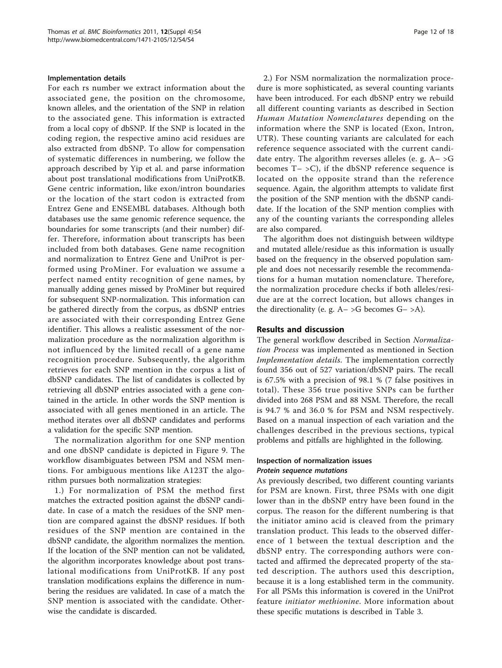#### Implementation details

For each rs number we extract information about the associated gene, the position on the chromosome, known alleles, and the orientation of the SNP in relation to the associated gene. This information is extracted from a local copy of dbSNP. If the SNP is located in the coding region, the respective amino acid residues are also extracted from dbSNP. To allow for compensation of systematic differences in numbering, we follow the approach described by Yip et al. and parse information about post translational modifications from UniProtKB. Gene centric information, like exon/intron boundaries or the location of the start codon is extracted from Entrez Gene and ENSEMBL databases. Although both databases use the same genomic reference sequence, the boundaries for some transcripts (and their number) differ. Therefore, information about transcripts has been included from both databases. Gene name recognition and normalization to Entrez Gene and UniProt is performed using ProMiner. For evaluation we assume a perfect named entity recognition of gene names, by manually adding genes missed by ProMiner but required for subsequent SNP-normalization. This information can be gathered directly from the corpus, as dbSNP entries are associated with their corresponding Entrez Gene identifier. This allows a realistic assessment of the normalization procedure as the normalization algorithm is not influenced by the limited recall of a gene name recognition procedure. Subsequently, the algorithm retrieves for each SNP mention in the corpus a list of dbSNP candidates. The list of candidates is collected by retrieving all dbSNP entries associated with a gene contained in the article. In other words the SNP mention is associated with all genes mentioned in an article. The method iterates over all dbSNP candidates and performs a validation for the specific SNP mention.

The normalization algorithm for one SNP mention and one dbSNP candidate is depicted in Figure [9](#page-12-0). The workflow disambiguates between PSM and NSM mentions. For ambiguous mentions like A123T the algorithm pursues both normalization strategies:

1.) For normalization of PSM the method first matches the extracted position against the dbSNP candidate. In case of a match the residues of the SNP mention are compared against the dbSNP residues. If both residues of the SNP mention are contained in the dbSNP candidate, the algorithm normalizes the mention. If the location of the SNP mention can not be validated, the algorithm incorporates knowledge about post translational modifications from UniProtKB. If any post translation modifications explains the difference in numbering the residues are validated. In case of a match the SNP mention is associated with the candidate. Otherwise the candidate is discarded.

2.) For NSM normalization the normalization procedure is more sophisticated, as several counting variants have been introduced. For each dbSNP entry we rebuild all different counting variants as described in Section Human Mutation Nomenclatures depending on the information where the SNP is located (Exon, Intron, UTR). These counting variants are calculated for each reference sequence associated with the current candidate entry. The algorithm reverses alleles (e. g.  $A - \frac{1}{G}$ becomes  $T - >C$ ), if the dbSNP reference sequence is located on the opposite strand than the reference sequence. Again, the algorithm attempts to validate first the position of the SNP mention with the dbSNP candidate. If the location of the SNP mention complies with any of the counting variants the corresponding alleles are also compared.

The algorithm does not distinguish between wildtype and mutated allele/residue as this information is usually based on the frequency in the observed population sample and does not necessarily resemble the recommendations for a human mutation nomenclature. Therefore, the normalization procedure checks if both alleles/residue are at the correct location, but allows changes in the directionality (e. g.  $A - \sum S$  becomes  $G - \sum A$ ).

#### Results and discussion

The general workflow described in Section Normalization Process was implemented as mentioned in Section Implementation details. The implementation correctly found 356 out of 527 variation/dbSNP pairs. The recall is 67.5% with a precision of 98.1 % (7 false positives in total). These 356 true positive SNPs can be further divided into 268 PSM and 88 NSM. Therefore, the recall is 94.7 % and 36.0 % for PSM and NSM respectively. Based on a manual inspection of each variation and the challenges described in the previous sections, typical problems and pitfalls are highlighted in the following.

## Inspection of normalization issues Protein sequence mutations

As previously described, two different counting variants for PSM are known. First, three PSMs with one digit lower than in the dbSNP entry have been found in the corpus. The reason for the different numbering is that the initiator amino acid is cleaved from the primary translation product. This leads to the observed difference of 1 between the textual description and the dbSNP entry. The corresponding authors were contacted and affirmed the deprecated property of the stated description. The authors used this description, because it is a long established term in the community. For all PSMs this information is covered in the UniProt feature initiator methionine. More information about these specific mutations is described in Table [3.](#page-12-0)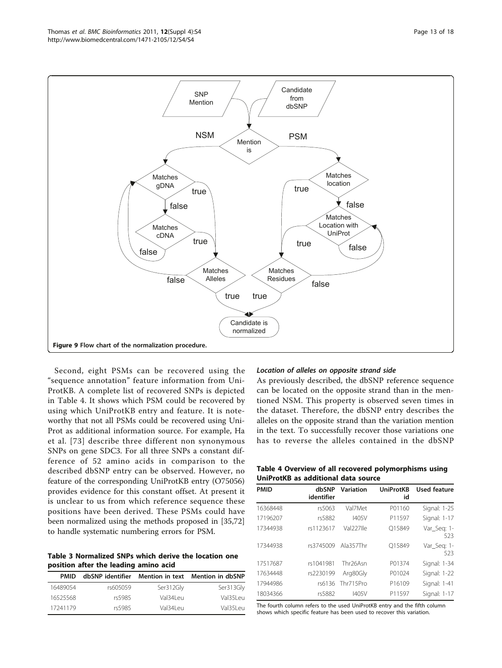<span id="page-12-0"></span>

Second, eight PSMs can be recovered using the "sequence annotation" feature information from Uni-ProtKB. A complete list of recovered SNPs is depicted in Table 4. It shows which PSM could be recovered by using which UniProtKB entry and feature. It is noteworthy that not all PSMs could be recovered using Uni-Prot as additional information source. For example, Ha et al. [[73](#page-17-0)] describe three different non synonymous SNPs on gene SDC3. For all three SNPs a constant difference of 52 amino acids in comparison to the described dbSNP entry can be observed. However, no feature of the corresponding UniProtKB entry (O75056) provides evidence for this constant offset. At present it is unclear to us from which reference sequence these positions have been derived. These PSMs could have been normalized using the methods proposed in [\[35](#page-16-0),[72](#page-17-0)] to handle systematic numbering errors for PSM.

Table 3 Normalized SNPs which derive the location one position after the leading amino acid

| <b>PMID</b> | dbSNP identifier |           | Mention in text Mention in dbSNP |
|-------------|------------------|-----------|----------------------------------|
| 16489054    | rs605059         | Ser312Gly | Ser313Gly                        |
| 16525568    | rs5985           | Val34Leu  | Val35Leu                         |
| 17241179    | rs5985           | Val34Leu  | Val35Leu                         |

#### Location of alleles on opposite strand side

As previously described, the dbSNP reference sequence can be located on the opposite strand than in the mentioned NSM. This property is observed seven times in the dataset. Therefore, the dbSNP entry describes the alleles on the opposite strand than the variation mention in the text. To successfully recover those variations one has to reverse the alleles contained in the dbSNP

| Table 4 Overview of all recovered polymorphisms using |  |
|-------------------------------------------------------|--|
| UniProtKB as additional data source                   |  |

| <b>PMID</b> | dbSNP<br>identifier | Variation              | <b>UniProtKB</b><br>id | <b>Used feature</b> |
|-------------|---------------------|------------------------|------------------------|---------------------|
| 16368448    | rs5063              | Val7Met                | P01160                 | Signal: 1-25        |
| 17196207    | rs5882              | <b>I405V</b>           | P11597                 | Signal: 1-17        |
| 17344938    | rs1123617           | Val <sub>227</sub> Ile | Q15849                 | Var_Seq: 1-<br>523  |
| 17344938    | rs3745009           | Ala357Thr              | O15849                 | Var_Seq: 1-<br>523  |
| 17517687    | rs1041981           | Thr <sub>26</sub> Asn  | P01374                 | Signal: 1-34        |
| 17634448    | rs2230199           | Arg80Gly               | P01024                 | Signal: 1-22        |
| 17944986    | rs6136              | Thr715Pro              | P16109                 | Signal: 1-41        |
| 18034366    | rs5882              | <b>I405V</b>           | P11597                 | Signal: 1-17        |
|             |                     |                        |                        |                     |

The fourth column refers to the used UniProtKB entry and the fifth column shows which specific feature has been used to recover this variation.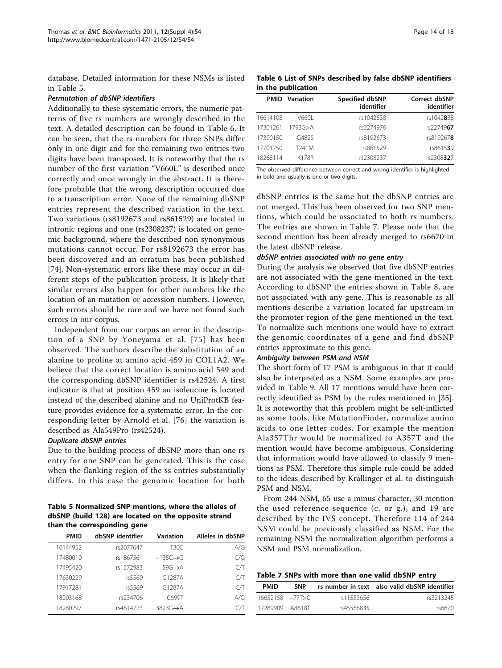database. Detailed information for these NSMs is listed in Table 5.

## Permutation of dbSNP identifiers

Additionally to these systematic errors, the numeric patterns of five rs numbers are wrongly described in the text. A detailed description can be found in Table 6. It can be seen, that the rs numbers for three SNPs differ only in one digit and for the remaining two entries two digits have been transposed. It is noteworthy that the rs number of the first variation "V660L" is described once correctly and once wrongly in the abstract. It is therefore probable that the wrong description occurred due to a transcription error. None of the remaining dbSNP entries represent the described variation in the text. Two variations (rs8192673 and rs861529) are located in intronic regions and one (rs2308237) is located on genomic background, where the described non synonymous mutations cannot occur. For rs8192673 the error has been discovered and an erratum has been published [[74\]](#page-17-0). Non-systematic errors like these may occur in different steps of the publication process. It is likely that similar errors also happen for other numbers like the location of an mutation or accession numbers. However, such errors should be rare and we have not found such errors in our corpus.

Independent from our corpus an error in the description of a SNP by Yoneyama et al. [[75\]](#page-17-0) has been observed. The authors describe the substitution of an alanine to proline at amino acid 459 in COL1A2. We believe that the correct location is amino acid 549 and the corresponding dbSNP identifier is rs42524. A first indicator is that at position 459 an isoleucine is located instead of the described alanine and no UniProtKB feature provides evidence for a systematic error. In the corresponding letter by Arnold et al. [[76](#page-17-0)] the variation is described as Ala549Pro (rs42524).

#### Duplicate dbSNP entries

Due to the building process of dbSNP more than one rs entry for one SNP can be generated. This is the case when the flanking region of the ss entries substantially differs. In this case the genomic location for both

Table 5 Normalized SNP mentions, where the alleles of dbSNP (build 128) are located on the opposite strand than the corresponding gene

| <b>PMID</b> | dbSNP identifier | Variation             | Alleles in dbSNP |
|-------------|------------------|-----------------------|------------------|
| 16144952    | rs2077647        | T30C                  | A/G              |
| 17480010    | rs1867561        | $-135C \rightarrow G$ | C/G              |
| 17495420    | rs1572983        | $59G \rightarrow A$   | C/T              |
| 17630229    | rs5569           | G1287A                | C/T              |
| 17917281    | rs5569           | G1287A                | CЛ               |
| 18203168    | rs234706         | C699T                 | A/G              |
| 18280297    | rs4614723        | $3823G \rightarrow A$ |                  |

| Table 6 List of SNPs described by false dbSNP identifiers |  |  |
|-----------------------------------------------------------|--|--|
| in the publication                                        |  |  |

|          | <b>PMID</b> Variation | Specified dbSNP<br>identifier | <b>Correct dbSNP</b><br>identifier |
|----------|-----------------------|-------------------------------|------------------------------------|
| 16614108 | V6601                 | rs1042638                     | rs1042838                          |
| 17301261 | 1793G > A             | rs2274976                     | rs2274967                          |
| 17390150 | G482S                 | rs8192673                     | rs8192678                          |
| 17701750 | T241M                 | rs861529                      | rs861539                           |
| 18268114 | <b>K178R</b>          | rs2308237                     | rs2308327                          |

The observed difference between correct and wrong identifier is highlighted in bold and usually is one or two digits.

dbSNP entries is the same but the dbSNP entries are not merged. This has been observed for two SNP mentions, which could be associated to both rs numbers. The entries are shown in Table 7. Please note that the second mention has been already merged to rs6670 in the latest dbSNP release.

#### dbSNP entries associated with no gene entry

During the analysis we observed that five dbSNP entries are not associated with the gene mentioned in the text. According to dbSNP the entries shown in Table [8](#page-14-0), are not associated with any gene. This is reasonable as all mentions describe a variation located far upstream in the promoter region of the gene mentioned in the text. To normalize such mentions one would have to extract the genomic coordinates of a gene and find dbSNP entries approximate to this gene.

#### Ambiguity between PSM and NSM

The short form of 17 PSM is ambiguous in that it could also be interpreted as a NSM. Some examples are provided in Table [9.](#page-14-0) All 17 mentions would have been correctly identified as PSM by the rules mentioned in [\[35](#page-16-0)]. It is noteworthy that this problem might be self-inflicted as some tools, like MutationFinder, normalize amino acids to one letter codes. For example the mention Ala357Thr would be normalized to A357T and the mention would have become ambiguous. Considering that information would have allowed to classify 9 mentions as PSM. Therefore this simple rule could be added to the ideas described by Krallinger et al. to distinguish PSM and NSM.

From 244 NSM, 65 use a minus character, 30 mention the used reference sequence (c. or g.), and 19 are described by the IVS concept. Therefore 114 of 244 NSM could be previously classified as NSM. For the remaining NSM the normalization algorithm performs a NSM and PSM normalization.

|  |  |  |  |  |  |  |  | Table 7 SNPs with more than one valid dbSNP entry |  |
|--|--|--|--|--|--|--|--|---------------------------------------------------|--|
|--|--|--|--|--|--|--|--|---------------------------------------------------|--|

| <b>PMID</b>        | <b>SNP</b> |            | rs number in text also valid dbSNP identifier |
|--------------------|------------|------------|-----------------------------------------------|
| $16652158 - 77750$ |            | rs11553656 | rs3213245                                     |
| 17289909 A8618T    |            | rs45566835 | rs6670                                        |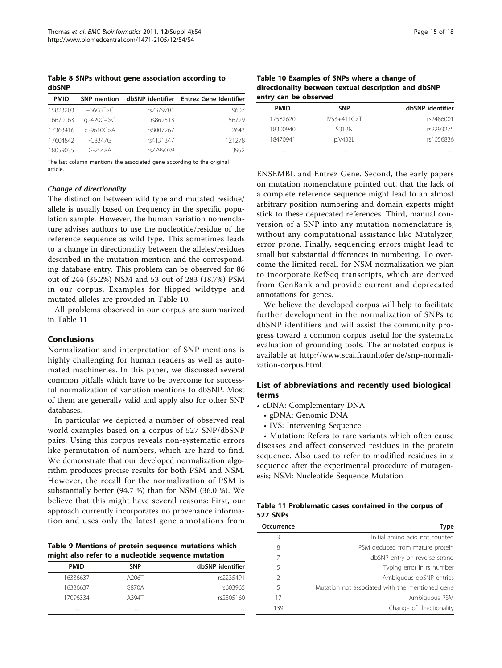<span id="page-14-0"></span>Table 8 SNPs without gene association according to dbSNP

| <b>PMID</b> |                    |           | SNP mention dbSNP identifier Entrez Gene Identifier |
|-------------|--------------------|-----------|-----------------------------------------------------|
| 15823203    | $-3608T > C$       | rs7379701 | 9607                                                |
| 16670163    | $q.-420C->G$       | rs862513  | 56729                                               |
| 17363416    | $c - 9610$ G $> A$ | rs8007267 | 2643                                                |
| 17604842    | $-C8347G$          | rs4131347 | 121278                                              |
| 18059035    | $G-2548A$          | rs7799039 | 3952                                                |

The last column mentions the associated gene according to the original article.

## Change of directionality

The distinction between wild type and mutated residue/ allele is usually based on frequency in the specific population sample. However, the human variation nomenclature advises authors to use the nucleotide/residue of the reference sequence as wild type. This sometimes leads to a change in directionality between the alleles/residues described in the mutation mention and the corresponding database entry. This problem can be observed for 86 out of 244 (35.2%) NSM and 53 out of 283 (18.7%) PSM in our corpus. Examples for flipped wildtype and mutated alleles are provided in Table 10.

All problems observed in our corpus are summarized in Table 11

#### Conclusions

Normalization and interpretation of SNP mentions is highly challenging for human readers as well as automated machineries. In this paper, we discussed several common pitfalls which have to be overcome for successful normalization of variation mentions to dbSNP. Most of them are generally valid and apply also for other SNP databases.

In particular we depicted a number of observed real world examples based on a corpus of 527 SNP/dbSNP pairs. Using this corpus reveals non-systematic errors like permutation of numbers, which are hard to find. We demonstrate that our developed normalization algorithm produces precise results for both PSM and NSM. However, the recall for the normalization of PSM is substantially better (94.7 %) than for NSM (36.0 %). We believe that this might have several reasons: First, our approach currently incorporates no provenance information and uses only the latest gene annotations from

Table 9 Mentions of protein sequence mutations which might also refer to a nucleotide sequence mutation

|             | .          |                  |
|-------------|------------|------------------|
| <b>PMID</b> | <b>SNP</b> | dbSNP identifier |
| 16336637    | A206T      | rs2235491        |
| 16336637    | G870A      | rs603965         |
| 17096334    | A394T      | rs2305160        |
| .           | .          | .                |

Table 10 Examples of SNPs where a change of directionality between textual description and dbSNP entry can be observed

| <b>PMID</b> | <b>SNP</b>    | dbSNP identifier |
|-------------|---------------|------------------|
| 17582620    | $IVS3+411C>T$ | rs2486001        |
| 18300940    | S312N         | rs2293275        |
| 18470941    | p.V432L       | rs1056836        |
| $\cdots$    | $\cdots$      | .                |
|             |               |                  |

ENSEMBL and Entrez Gene. Second, the early papers on mutation nomenclature pointed out, that the lack of a complete reference sequence might lead to an almost arbitrary position numbering and domain experts might stick to these deprecated references. Third, manual conversion of a SNP into any mutation nomenclature is, without any computational assistance like Mutalyzer, error prone. Finally, sequencing errors might lead to small but substantial differences in numbering. To overcome the limited recall for NSM normalization we plan to incorporate RefSeq transcripts, which are derived from GenBank and provide current and deprecated annotations for genes.

We believe the developed corpus will help to facilitate further development in the normalization of SNPs to dbSNP identifiers and will assist the community progress toward a common corpus useful for the systematic evaluation of grounding tools. The annotated corpus is available at [http://www.scai.fraunhofer.de/snp-normali](http://www.scai.fraunhofer.de/snp-normalization-corpus.html)[zation-corpus.html.](http://www.scai.fraunhofer.de/snp-normalization-corpus.html)

## List of abbreviations and recently used biological terms

- cDNA: Complementary DNA
	- gDNA: Genomic DNA
	- IVS: Intervening Sequence

• Mutation: Refers to rare variants which often cause diseases and affect conserved residues in the protein sequence. Also used to refer to modified residues in a sequence after the experimental procedure of mutagenesis; NSM: Nucleotide Sequence Mutation

|          | Table 11 Problematic cases contained in the corpus of |  |  |  |
|----------|-------------------------------------------------------|--|--|--|
| 527 SNPs |                                                       |  |  |  |

| Type                                            |
|-------------------------------------------------|
| Initial amino acid not counted                  |
| PSM deduced from mature protein                 |
| dbSNP entry on reverse strand                   |
| Typing error in rs number                       |
| Ambiguous dbSNP entries                         |
| Mutation not associated with the mentioned gene |
| Ambiguous PSM                                   |
| Change of directionality                        |
|                                                 |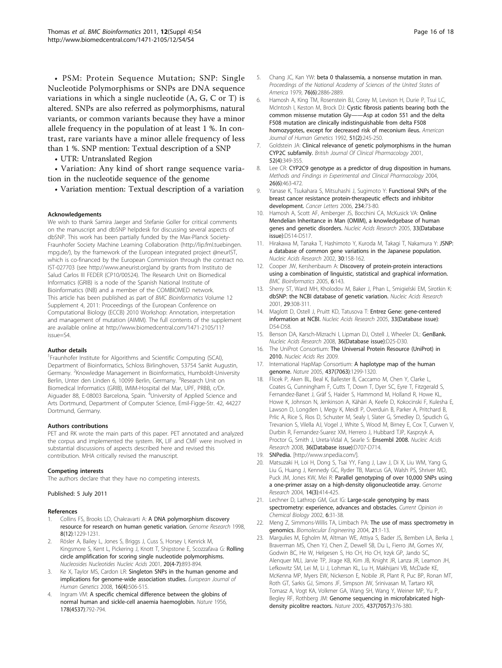<span id="page-15-0"></span>• PSM: Protein Sequence Mutation; SNP: Single Nucleotide Polymorphisms or SNPs are DNA sequence variations in which a single nucleotide (A, G, C or T) is altered. SNPs are also referred as polymorphisms, natural variants, or common variants because they have a minor allele frequency in the population of at least 1 %. In contrast, rare variants have a minor allele frequency of less than 1 %. SNP mention: Textual description of a SNP

• UTR: Untranslated Region

• Variation: Any kind of short range sequence variation in the nucleotide sequence of the genome

• Variation mention: Textual description of a variation

#### Acknowledgements

We wish to thank Samira Jaeger and Stefanie Goller for critical comments on the manuscript and dbSNP helpdesk for discussing several aspects of dbSNP. This work has been partially funded by the Max-Planck Society-Fraunhofer Society Machine Learning Collaboration [\(http://lip.fml.tuebingen.](http://lip.fml.tuebingen.mpg.de/) [mpg.de/](http://lip.fml.tuebingen.mpg.de/)), by the framework of the European integrated project @neurIST, which is co-financed by the European Commission through the contract no. IST-027703 (see [http://www.aneurist.org\)](http://www.aneurist.org)and by grants from Instituto de Salud Carlos III FEDER (CP10/00524). The Research Unit on Biomedical Informatics (GRIB) is a node of the Spanish National Institute of Bioinformatics (INB) and a member of the COMBIOMED network. This article has been published as part of BMC Bioinformatics Volume 12 Supplement 4, 2011: Proceedings of the European Conference on Computational Biology (ECCB) 2010 Workshop: Annotation, interpretation and management of mutation (AIMM). The full contents of the supplement are available online at [http://www.biomedcentral.com/1471-2105/11?](http://www.biomedcentral.com/1471-2105/11?issue=S4) [issue=S4.](http://www.biomedcentral.com/1471-2105/11?issue=S4)

#### Author details

<sup>1</sup> Fraunhofer Institute for Algorithms and Scientific Computing (SCAI), Department of Bioinformatics, Schloss Birlinghoven, 53754 Sankt Augustin, Germany. <sup>2</sup>Knowledge Management in Bioinformatics, Humboldt-University Berlin, Unter den Linden 6, 10099 Berlin, Germany. <sup>3</sup>Research Unit on Biomedical Informatics (GRIB), IMIM-Hospital del Mar, UPF, PRBB, c/Dr.<br>Aiguader 88, E-08003 Barcelona, Spain. <sup>4</sup>University of Applied Science and Arts Dortmund, Department of Computer Science, Emil-Figge-Str. 42, 44227 Dortmund, Germany.

#### Authors contributions

PET and RK wrote the main parts of this paper. PET annotated and analyzed the corpus and implemented the system. RK, LIF and CMF were involved in substantial discussions of aspects described here and revised this contribution. MHA critically revised the manuscript.

#### Competing interests

The authors declare that they have no competing interests.

#### Published: 5 July 2011

#### References

- 1. Collins FS, Brooks LD, Chakravarti A: [A DNA polymorphism discovery](http://www.ncbi.nlm.nih.gov/pubmed/9872978?dopt=Abstract) [resource for research on human genetic variation.](http://www.ncbi.nlm.nih.gov/pubmed/9872978?dopt=Abstract) Genome Research 1998, 8(12):1229-1231.
- 2. Rösler A, Bailey L, Jones S, Briggs J, Cuss S, Horsey I, Kenrick M, Kingsmore S, Kent L, Pickering J, Knott T, Shipstone E, Scozzafava G: [Rolling](http://www.ncbi.nlm.nih.gov/pubmed/11563139?dopt=Abstract) [circle amplification for scoring single nucleotide polymorphisms.](http://www.ncbi.nlm.nih.gov/pubmed/11563139?dopt=Abstract) Nucleosides Nucleotides Nucleic Acids 2001, 20(4-7):893-894.
- 3. Ke X, Taylor MS, Cardon LR: [Singleton SNPs in the human genome and](http://www.ncbi.nlm.nih.gov/pubmed/18197193?dopt=Abstract) [implications for genome-wide association studies.](http://www.ncbi.nlm.nih.gov/pubmed/18197193?dopt=Abstract) European Journal of Human Genetics 2008, 16(4):506-515.
- Ingram VM: [A specific chemical difference between the globins of](http://www.ncbi.nlm.nih.gov/pubmed/13369537?dopt=Abstract) [normal human and sickle-cell anaemia haemoglobin.](http://www.ncbi.nlm.nih.gov/pubmed/13369537?dopt=Abstract) Nature 1956, 178(4537):792-794.
- 5. Chang JC, Kan YW: [beta 0 thalassemia, a nonsense mutation in man.](http://www.ncbi.nlm.nih.gov/pubmed/88735?dopt=Abstract) Proceedings of the National Academy of Sciences of the United States of America 1979, 76(6):2886-2889.
- 6. Hamosh A, King TM, Rosenstein BJ, Corey M, Levison H, Durie P, Tsui LC, McIntosh I, Keston M, Brock DJ: [Cystic fibrosis patients bearing both the](http://www.ncbi.nlm.nih.gov/pubmed/1379413?dopt=Abstract) [common missense mutation Gly](http://www.ncbi.nlm.nih.gov/pubmed/1379413?dopt=Abstract)——Asp at codon 551 and the delta [F508 mutation are clinically indistinguishable from delta F508](http://www.ncbi.nlm.nih.gov/pubmed/1379413?dopt=Abstract) [homozygotes, except for decreased risk of meconium ileus.](http://www.ncbi.nlm.nih.gov/pubmed/1379413?dopt=Abstract) American Journal of Human Genetics 1992, 51(2):245-250.
- 7. Goldstein JA: [Clinical relevance of genetic polymorphisms in the human](http://www.ncbi.nlm.nih.gov/pubmed/11678778?dopt=Abstract) [CYP2C subfamily.](http://www.ncbi.nlm.nih.gov/pubmed/11678778?dopt=Abstract) British Journal Of Clinical Pharmacology 2001, 52(4):349-355.
- 8. Lee CR: [CYP2C9 genotype as a predictor of drug disposition in humans.](http://www.ncbi.nlm.nih.gov/pubmed/15349140?dopt=Abstract) Methods and Findings in Experimental and Clinical Pharmacology 2004, 26(6):463-472.
- 9. Yanase K, Tsukahara S, Mitsuhashi J, Sugimoto Y: [Functional SNPs of the](http://www.ncbi.nlm.nih.gov/pubmed/16303243?dopt=Abstract) [breast cancer resistance protein-therapeutic effects and inhibitor](http://www.ncbi.nlm.nih.gov/pubmed/16303243?dopt=Abstract) [development.](http://www.ncbi.nlm.nih.gov/pubmed/16303243?dopt=Abstract) Cancer Letters 2006, 234:73-80.
- 10. Hamosh A, Scott AF, Amberger JS, Bocchini CA, McKusick VA: [Online](http://www.ncbi.nlm.nih.gov/pubmed/15608251?dopt=Abstract) [Mendelian Inheritance in Man \(OMIM\), a knowledgebase of human](http://www.ncbi.nlm.nih.gov/pubmed/15608251?dopt=Abstract) [genes and genetic disorders.](http://www.ncbi.nlm.nih.gov/pubmed/15608251?dopt=Abstract) Nucleic Acids Research 2005, 33(Database issue):D514-D517.
- 11. Hirakawa M, Tanaka T, Hashimoto Y, Kuroda M, Takagi T, Nakamura Y: [JSNP:](http://www.ncbi.nlm.nih.gov/pubmed/11752280?dopt=Abstract) [a database of common gene variations in the Japanese population.](http://www.ncbi.nlm.nih.gov/pubmed/11752280?dopt=Abstract) Nucleic Acids Research 2002, 30:158-162.
- 12. Cooper JW, Kershenbaum A: [Discovery of protein-protein interactions](http://www.ncbi.nlm.nih.gov/pubmed/15941473?dopt=Abstract) [using a combination of linguistic, statistical and graphical information.](http://www.ncbi.nlm.nih.gov/pubmed/15941473?dopt=Abstract) BMC Bioinformatics 2005, 6:143.
- 13. Sherry ST, Ward MH, Kholodov M, Baker J, Phan L, Smigielski EM, Sirotkin K: [dbSNP: the NCBI database of genetic variation.](http://www.ncbi.nlm.nih.gov/pubmed/11125122?dopt=Abstract) Nucleic Acids Research 2001, 29:308-311.
- 14. Maglott D, Ostell J, Pruitt KD, Tatusova T: [Entrez Gene: gene-centered](http://www.ncbi.nlm.nih.gov/pubmed/15608257?dopt=Abstract) [information at NCBI.](http://www.ncbi.nlm.nih.gov/pubmed/15608257?dopt=Abstract) Nucleic Acids Research 2005, 33(Database issue): D54-D58.
- 15. Benson DA, Karsch-Mizrachi I, Lipman DJ, Ostell J, Wheeler DL: [GenBank.](http://www.ncbi.nlm.nih.gov/pubmed/18073190?dopt=Abstract) Nucleic Acids Research 2008, 36(Database issue):D25-D30.
- 16. The UniProt Consortium: The Universal Protein Resource (UniProt) in 2010. Nucleic Acids Res 2009.
- 17. International HapMap Consortium: [A haplotype map of the human](http://www.ncbi.nlm.nih.gov/pubmed/16255080?dopt=Abstract) [genome.](http://www.ncbi.nlm.nih.gov/pubmed/16255080?dopt=Abstract) Nature 2005, 437(7063):1299-1320.
- 18. Flicek P, Aken BL, Beal K, Ballester B, Caccamo M, Chen Y, Clarke L, Coates G, Cunningham F, Cutts T, Down T, Dyer SC, Eyre T, Fitzgerald S, Fernandez-Banet J, Gräf S, Haider S, Hammond M, Holland R, Howe KL, Howe K, Johnson N, Jenkinson A, Kähäri A, Keefe D, Kokocinski F, Kulesha E, Lawson D, Longden I, Megy K, Meidl P, Overduin B, Parker A, Pritchard B, Prlic A, Rice S, Rios D, Schuster M, Sealy I, Slater G, Smedley D, Spudich G, Trevanion S, Vilella AJ, Vogel J, White S, Wood M, Birney E, Cox T, Curwen V, Durbin R, Fernandez-Suarez XM, Herrero J, Hubbard TJP, Kasprzyk A, Proctor G, Smith J, Ureta-Vidal A, Searle S: [Ensembl 2008.](http://www.ncbi.nlm.nih.gov/pubmed/18000006?dopt=Abstract) Nucleic Acids Research 2008, 36(Database issue):D707-D714.
- 19. SNPedia. [[http://www.snpedia.com/\]](http://www.snpedia.com/).
- 20. Matsuzaki H, Loi H, Dong S, Tsai YY, Fang J, Law J, Di X, Liu WM, Yang G, Liu G, Huang J, Kennedy GC, Ryder TB, Marcus GA, Walsh PS, Shriver MD, Puck JM, Jones KW, Mei R: [Parallel genotyping of over 10,000 SNPs using](http://www.ncbi.nlm.nih.gov/pubmed/14993208?dopt=Abstract) [a one-primer assay on a high-density oligonucleotide array.](http://www.ncbi.nlm.nih.gov/pubmed/14993208?dopt=Abstract) Genome Research 2004, 14(3):414-425.
- 21. Lechner D, Lathrop GM, Gut IG: [Large-scale genotyping by mass](http://www.ncbi.nlm.nih.gov/pubmed/11827820?dopt=Abstract) [spectrometry: experience, advances and obstacles.](http://www.ncbi.nlm.nih.gov/pubmed/11827820?dopt=Abstract) Current Opinion in Chemical Biology 2002, 6:31-38.
- 22. Meng Z, Simmons-Willis TA, Limbach PA: [The use of mass spectrometry in](http://www.ncbi.nlm.nih.gov/pubmed/14715314?dopt=Abstract) [genomics.](http://www.ncbi.nlm.nih.gov/pubmed/14715314?dopt=Abstract) Biomolecular Engineering 2004, 21:1-13.
- 23. Margulies M, Egholm M, Altman WE, Attiya S, Bader JS, Bemben LA, Berka J, Braverman MS, Chen YJ, Chen Z, Dewell SB, Du L, Fierro JM, Gomes XV, Godwin BC, He W, Helgesen S, Ho CH, Ho CH, Irzyk GP, Jando SC, Alenquer MLI, Jarvie TP, Jirage KB, Kim JB, Knight JR, Lanza JR, Leamon JH, Lefkowitz SM, Lei M, Li J, Lohman KL, Lu H, Makhijani VB, McDade KE, McKenna MP, Myers EW, Nickerson E, Nobile JR, Plant R, Puc BP, Ronan MT, Roth GT, Sarkis GJ, Simons JF, Simpson JW, Srinivasan M, Tartaro KR, Tomasz A, Vogt KA, Volkmer GA, Wang SH, Wang Y, Weiner MP, Yu P, Begley RF, Rothberg JM: [Genome sequencing in microfabricated high](http://www.ncbi.nlm.nih.gov/pubmed/16056220?dopt=Abstract)[density picolitre reactors.](http://www.ncbi.nlm.nih.gov/pubmed/16056220?dopt=Abstract) Nature 2005, 437(7057):376-380.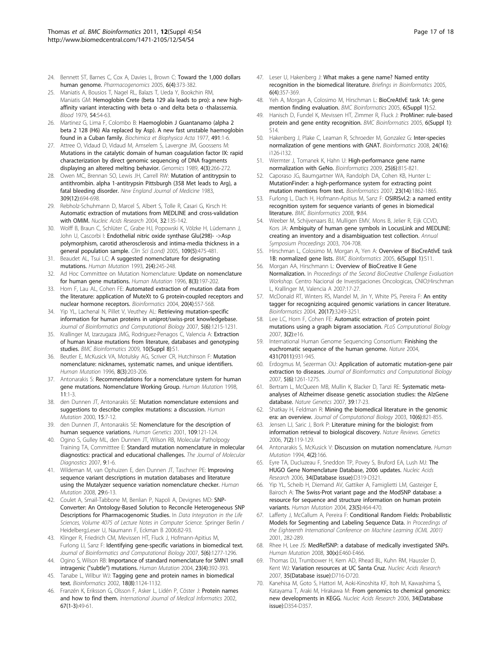- <span id="page-16-0"></span>24. Bennett ST, Barnes C, Cox A, Davies L, Brown C: [Toward the 1,000 dollars](http://www.ncbi.nlm.nih.gov/pubmed/16004555?dopt=Abstract) [human genome.](http://www.ncbi.nlm.nih.gov/pubmed/16004555?dopt=Abstract) Pharmacogenomics 2005, 6(4):373-382.
- 25. Maniatis A, Bousios T, Nagel RL, Balazs T, Ueda Y, Bookchin RM, Maniatis GM: [Hemoglobin Crete \(beta 129 ala leads to pro\): a new high](http://www.ncbi.nlm.nih.gov/pubmed/36184?dopt=Abstract)[affinity variant interacting with beta o -and delta beta o -thalassemia.](http://www.ncbi.nlm.nih.gov/pubmed/36184?dopt=Abstract) Blood 1979, 54:54-63.
- 26. Martinez G, Lima F, Colombo B: [Haemoglobin J Guantanamo \(alpha 2](http://www.ncbi.nlm.nih.gov/pubmed/849451?dopt=Abstract) [beta 2 128 \(H6\) Ala replaced by Asp\). A new fast unstable haemoglobin](http://www.ncbi.nlm.nih.gov/pubmed/849451?dopt=Abstract) [found in a Cuban family.](http://www.ncbi.nlm.nih.gov/pubmed/849451?dopt=Abstract) Biochimica et Biophysica Acta 1977, 491:1-6.
- 27. Attree O, Vidaud D, Vidaud M, Amselem S, Lavergne JM, Goossens M: [Mutations in the catalytic domain of human coagulation factor IX: rapid](http://www.ncbi.nlm.nih.gov/pubmed/2714791?dopt=Abstract) [characterization by direct genomic sequencing of DNA fragments](http://www.ncbi.nlm.nih.gov/pubmed/2714791?dopt=Abstract) [displaying an altered melting behavior.](http://www.ncbi.nlm.nih.gov/pubmed/2714791?dopt=Abstract) Genomics 1989, 4(3):266-272.
- 28. Owen MC, Brennan SO, Lewis JH, Carrell RW: [Mutation of antitrypsin to](http://www.ncbi.nlm.nih.gov/pubmed/6604220?dopt=Abstract) [antithrombin. alpha 1-antitrypsin Pittsburgh \(358 Met leads to Arg\), a](http://www.ncbi.nlm.nih.gov/pubmed/6604220?dopt=Abstract) [fatal bleeding disorder.](http://www.ncbi.nlm.nih.gov/pubmed/6604220?dopt=Abstract) New England Journal of Medicine 1983, 309(12):694-698.
- 29. Rebholz-Schuhmann D, Marcel S, Albert S, Tolle R, Casari G, Kirsch H: [Automatic extraction of mutations from MEDLINE and cross-validation](http://www.ncbi.nlm.nih.gov/pubmed/14704350?dopt=Abstract) [with OMIM.](http://www.ncbi.nlm.nih.gov/pubmed/14704350?dopt=Abstract) Nucleic Acids Research 2004, 32:135-142.
- 30. Wolff B, Braun C, Schlüter C, Grabe HJ, Popowski K, Völzke H, Lüdemann J, John U, Cascorbi I: Endothelial nitric oxide synthase Glu(298)- ->Asp polymorphism, carotid atherosclerosis and intima-media thickness in a general population sample. Clin Sci (Lond) 2005, 109(5):475-481.
- 31. Beaudet AL, Tsui LC: [A suggested nomenclature for designating](http://www.ncbi.nlm.nih.gov/pubmed/8401532?dopt=Abstract) [mutations.](http://www.ncbi.nlm.nih.gov/pubmed/8401532?dopt=Abstract) Human Mutation 1993, 2(4):245-248.
- 32. Ad Hoc Committee on Mutation Nomenclature: [Update on nomenclature](http://www.ncbi.nlm.nih.gov/pubmed/8889576?dopt=Abstract) [for human gene mutations.](http://www.ncbi.nlm.nih.gov/pubmed/8889576?dopt=Abstract) Human Mutation 1996, 8(3):197-202.
- 33. Horn F, Lau AL, Cohen FE: [Automated extraction of mutation data from](http://www.ncbi.nlm.nih.gov/pubmed/14990452?dopt=Abstract) [the literature: application of MuteXt to G protein-coupled receptors and](http://www.ncbi.nlm.nih.gov/pubmed/14990452?dopt=Abstract) [nuclear hormone receptors.](http://www.ncbi.nlm.nih.gov/pubmed/14990452?dopt=Abstract) Bioinformatics 2004, 20(4):557-568.
- 34. Yip YL, Lachenal N, Pillet V, Veuthey AL: [Retrieving mutation-specific](http://www.ncbi.nlm.nih.gov/pubmed/18172926?dopt=Abstract) [information for human proteins in uniprot/swiss-prot knowledgebase.](http://www.ncbi.nlm.nih.gov/pubmed/18172926?dopt=Abstract) Journal of Bioinformatics and Computational Biology 2007, 5(6):1215-1231.
- 35. Krallinger M, Izarzugaza JMG, Rodriguez-Penagos C, Valencia A: [Extraction](http://www.ncbi.nlm.nih.gov/pubmed/20151484?dopt=Abstract) [of human kinase mutations from literature, databases and genotyping](http://www.ncbi.nlm.nih.gov/pubmed/20151484?dopt=Abstract) [studies.](http://www.ncbi.nlm.nih.gov/pubmed/20151484?dopt=Abstract) BMC Bioinformatics 2009, 10(Suppl 8):S1.
- 36. Beutler E, McKusick VA, Motulsky AG, Scriver CR, Hutchinson F: [Mutation](http://www.ncbi.nlm.nih.gov/pubmed/8889577?dopt=Abstract) [nomenclature: nicknames, systematic names, and unique identifiers.](http://www.ncbi.nlm.nih.gov/pubmed/8889577?dopt=Abstract) Human Mutation 1996, 8(3):203-206.
- 37. Antonarakis S: [Recommendations for a nomenclature system for human](http://www.ncbi.nlm.nih.gov/pubmed/9450896?dopt=Abstract) [gene mutations. Nomenclature Working Group.](http://www.ncbi.nlm.nih.gov/pubmed/9450896?dopt=Abstract) Human Mutation 1998, 11:1-3.
- 38. den Dunnen JT, Antonarakis SE: [Mutation nomenclature extensions and](http://www.ncbi.nlm.nih.gov/pubmed/10612815?dopt=Abstract) [suggestions to describe complex mutations: a discussion.](http://www.ncbi.nlm.nih.gov/pubmed/10612815?dopt=Abstract) Human Mutation 2000, 15:7-12.
- 39. den Dunnen JT, Antonarakis SE: [Nomenclature for the description of](http://www.ncbi.nlm.nih.gov/pubmed/11479744?dopt=Abstract) [human sequence variations.](http://www.ncbi.nlm.nih.gov/pubmed/11479744?dopt=Abstract) Human Genetics 2001, 109:121-124.
- 40. Ogino S, Gulley ML, den Dunnen JT, Wilson RB, Molecular Patholpogy Training TA, Committtee E: [Standard mutation nomenclature in molecular](http://www.ncbi.nlm.nih.gov/pubmed/17251329?dopt=Abstract) [diagnostics: practical and educational challenges.](http://www.ncbi.nlm.nih.gov/pubmed/17251329?dopt=Abstract) The Journal of Molecular Diagnostics 2007, 9:1-6.
- 41. Wildeman M, van Ophuizen E, den Dunnen JT, Taschner PE: [Improving](http://www.ncbi.nlm.nih.gov/pubmed/18000842?dopt=Abstract) [sequence variant descriptions in mutation databases and literature](http://www.ncbi.nlm.nih.gov/pubmed/18000842?dopt=Abstract) [using the Mutalyzer sequence variation nomenclature checker.](http://www.ncbi.nlm.nih.gov/pubmed/18000842?dopt=Abstract) Human Mutation 2008, 29:6-13.
- 42. Coulet A, Smaïl-Tabbone M, Benlian P, Napoli A, Devignes MD: SNP-Converter: An Ontology-Based Solution to Reconcile Heterogeneous SNP Descriptions for Pharmacogenomic Studies. In Data Integration in the Life Sciences, Volume 4075 of Lecture Notes in Computer Science. Springer Berlin / Heidelberg;Leser U, Naumann F, Eckman B 2006:82-93.
- 43. Klinger R, Friedrich CM, Mevissen HT, Fluck J, Hofmann-Apitius M, Furlong LI, Sanz F: [Identifying gene-specific variations in biomedical text.](http://www.ncbi.nlm.nih.gov/pubmed/18172929?dopt=Abstract) Journal of Bioinformatics and Computational Biology 2007, 5(6):1277-1296.
- 44. Ogino S, Wilson RB: [Importance of standard nomenclature for SMN1 small](http://www.ncbi.nlm.nih.gov/pubmed/15024734?dopt=Abstract) [intragenic \("subtle](http://www.ncbi.nlm.nih.gov/pubmed/15024734?dopt=Abstract)") mutations. Human Mutation 2004, 23(4):392-393.
- 45. Tanabe L, Wilbur WJ: [Tagging gene and protein names in biomedical](http://www.ncbi.nlm.nih.gov/pubmed/12176836?dopt=Abstract) [text.](http://www.ncbi.nlm.nih.gov/pubmed/12176836?dopt=Abstract) Bioinformatics 2002, 18(8):1124-1132.
- 46. Franzén K, Eriksson G, Olsson F, Asker L, Lidén P, Cöster J: [Protein names](http://www.ncbi.nlm.nih.gov/pubmed/12460631?dopt=Abstract) [and how to find them.](http://www.ncbi.nlm.nih.gov/pubmed/12460631?dopt=Abstract) International Journal of Medical Informatics 2002, 67(1-3):49-61.
- 47. Leser U, Hakenberg J: [What makes a gene name? Named entity](http://www.ncbi.nlm.nih.gov/pubmed/16420734?dopt=Abstract) [recognition in the biomedical literature.](http://www.ncbi.nlm.nih.gov/pubmed/16420734?dopt=Abstract) Briefings in Bioinformatics 2005, 6(4):357-369.
- 48. Yeh A, Morgan A, Colosimo M, Hirschman L: [BioCreAtlvE task 1A: gene](http://www.ncbi.nlm.nih.gov/pubmed/16351746?dopt=Abstract) [mention finding evaluation.](http://www.ncbi.nlm.nih.gov/pubmed/16351746?dopt=Abstract) BMC Bioinformatics 2005, 6(Suppl 1):S2.
- 49. Hanisch D, Fundel K, Mevissen HT, Zimmer R, Fluck J: [ProMiner: rule-based](http://www.ncbi.nlm.nih.gov/pubmed/16351740?dopt=Abstract) [protein and gene entity recognition.](http://www.ncbi.nlm.nih.gov/pubmed/16351740?dopt=Abstract) BMC Bioinformatics 2005, 6(Suppl 1):  $S14$
- 50. Hakenberg J, Plake C, Leaman R, Schroeder M, Gonzalez G: [Inter-species](http://www.ncbi.nlm.nih.gov/pubmed/18689813?dopt=Abstract) [normalization of gene mentions with GNAT.](http://www.ncbi.nlm.nih.gov/pubmed/18689813?dopt=Abstract) Bioinformatics 2008, 24(16): i126-i132.
- 51. Wermter J, Tomanek K, Hahn U: [High-performance gene name](http://www.ncbi.nlm.nih.gov/pubmed/19188193?dopt=Abstract) [normalization with GeNo.](http://www.ncbi.nlm.nih.gov/pubmed/19188193?dopt=Abstract) Bioinformatics 2009, 25(6):815-821.
- 52. Caporaso JG, Baumgartner WA, Randolph DA, Cohen KB, Hunter L: [MutationFinder: a high-performance system for extracting point](http://www.ncbi.nlm.nih.gov/pubmed/17495998?dopt=Abstract) [mutation mentions from text.](http://www.ncbi.nlm.nih.gov/pubmed/17495998?dopt=Abstract) Bioinformatics 2007, 23(14):1862-1865.
- 53. Furlong L, Dach H, Hofmann-Apitius M, Sanz F: [OSIRISvl.2: a named entity](http://www.ncbi.nlm.nih.gov/pubmed/18251998?dopt=Abstract) [recognition system for sequence variants of genes in biomedical](http://www.ncbi.nlm.nih.gov/pubmed/18251998?dopt=Abstract) [literature.](http://www.ncbi.nlm.nih.gov/pubmed/18251998?dopt=Abstract) BMC Bioinformatics 2008, 9:84.
- 54. Weeber M, Schijvenaars BJ, Mulligen EMV, Mons B, Jelier R, Eijk CCVD, Kors JA: Ambiguity of human gene symbols in LocusLink and MEDLINE: creating an inventory and a disambiguation test collection. Annual Symposium Proceedings 2003, 704-708.
- 55. Hirschman L, Colosimo M, Morgan A, Yen A: [Overview of BioCreAtlvE task](http://www.ncbi.nlm.nih.gov/pubmed/16351737?dopt=Abstract) [1B: normalized gene lists.](http://www.ncbi.nlm.nih.gov/pubmed/16351737?dopt=Abstract) BMC Bioinformatics 2005, 6(Suppl 1):S11.
- 56. Morgan AA, Hirschmann L: Overview of BioCreative II Gene Normalization. In Proceedings of the Second BioCreative Challenge Evaluation Workshop. Centro Nacional de Investigaciones Oncologicas, CNIO;Hirschman L, Krallinger M, Valencia A 2007:17-27.
- 57. McDonald RT, Winters RS, Mandel M, Jin Y, White PS, Pereira F: [An entity](http://www.ncbi.nlm.nih.gov/pubmed/15180929?dopt=Abstract) [tagger for recognizing acquired genomic variations in cancer literature.](http://www.ncbi.nlm.nih.gov/pubmed/15180929?dopt=Abstract) Bioinformatics 2004, 20(17):3249-3251.
- 58. Lee LC, Horn F, Cohen FE: [Automatic extraction of protein point](http://www.ncbi.nlm.nih.gov/pubmed/17274683?dopt=Abstract) [mutations using a graph bigram association.](http://www.ncbi.nlm.nih.gov/pubmed/17274683?dopt=Abstract) PLoS Computational Biology 2007, 3(2):e16.
- 59. International Human Genome Sequencing Consortium: [Finishing the](http://www.ncbi.nlm.nih.gov/pubmed/15496913?dopt=Abstract) [euchromatic sequence of the human genome.](http://www.ncbi.nlm.nih.gov/pubmed/15496913?dopt=Abstract) Nature 2004, 431(7011):931-945.
- Erdogmus M, Sezerman OU: [Application of automatic mutation-gene pair](http://www.ncbi.nlm.nih.gov/pubmed/18172928?dopt=Abstract) [extraction to diseases.](http://www.ncbi.nlm.nih.gov/pubmed/18172928?dopt=Abstract) Journal of Bioinformatics and Computational Biology 2007, 5(6):1261-1275.
- 61. Bertram L, McQueen MB, Mullin K, Blacker D, Tanzi RE: [Systematic meta](http://www.ncbi.nlm.nih.gov/pubmed/17192785?dopt=Abstract)[analyses of Alzheimer disease genetic association studies: the AlzGene](http://www.ncbi.nlm.nih.gov/pubmed/17192785?dopt=Abstract) [database.](http://www.ncbi.nlm.nih.gov/pubmed/17192785?dopt=Abstract) Nature Genetics 2007, 39:17-23.
- 62. Shatkay H, Feldman R: [Mining the biomedical literature in the genomic](http://www.ncbi.nlm.nih.gov/pubmed/14980013?dopt=Abstract) [era: an overview.](http://www.ncbi.nlm.nih.gov/pubmed/14980013?dopt=Abstract) Journal of Computational Biology 2003, 10(6):821-855.
- 63. Jensen LJ, Saric J, Bork P: [Literature mining for the biologist: from](http://www.ncbi.nlm.nih.gov/pubmed/16418747?dopt=Abstract) [information retrieval to biological discovery.](http://www.ncbi.nlm.nih.gov/pubmed/16418747?dopt=Abstract) Nature Reviews. Genetics 2006, 7(2):119-129.
- 64. Antonarakis S, McKusick V: [Discussion on mutation nomenclature.](http://www.ncbi.nlm.nih.gov/pubmed/7981723?dopt=Abstract) Human Mutation 1994, 4(2):166.
- Eyre TA, Ducluzeau F, Sneddon TP, Povey S, Bruford EA, Lush MJ: [The](http://www.ncbi.nlm.nih.gov/pubmed/16381876?dopt=Abstract) [HUGO Gene Nomenclature Database, 2006 updates.](http://www.ncbi.nlm.nih.gov/pubmed/16381876?dopt=Abstract) Nucleic Acids Research 2006, 34(Database issue):D319-D321.
- 66. Yip YL, Scheib H, Diemand AV, Gattiker A, Famiglietti LM, Gasteiger E, Bairoch A: [The Swiss-Prot variant page and the ModSNP database: a](http://www.ncbi.nlm.nih.gov/pubmed/15108278?dopt=Abstract) [resource for sequence and structure information on human protein](http://www.ncbi.nlm.nih.gov/pubmed/15108278?dopt=Abstract) [variants.](http://www.ncbi.nlm.nih.gov/pubmed/15108278?dopt=Abstract) Human Mutation 2004, 23(5):464-470.
- 67. Lafferty J, McCallum A, Pereira F: Conditional Random Fields: Probabilistic Models for Segmenting and Labeling Sequence Data. In Proceedings of the Eighteenth International Conference on Machine Learning (ICML 2001) 2001, 282-289.
- Rhee H, Lee JS: MedRefSNP: a database of medically investigated SNPs. Human Mutation 2008, 30(x):E460-E466.
- 69. Thomas DJ, Trumbower H, Kern AD, Rhead BL, Kuhn RM, Haussler D, Kent WJ: [Variation resources at UC Santa Cruz.](http://www.ncbi.nlm.nih.gov/pubmed/17151077?dopt=Abstract) Nucleic Acids Research 2007, 35(Database issue):D716-D720.
- 70. Kanehisa M, Goto S, Hattori M, Aoki-Kinoshita KF, Itoh M, Kawashima S, Katayama T, Araki M, Hirakawa M: [From genomics to chemical genomics:](http://www.ncbi.nlm.nih.gov/pubmed/16381885?dopt=Abstract) [new developments in KEGG.](http://www.ncbi.nlm.nih.gov/pubmed/16381885?dopt=Abstract) Nucleic Acids Research 2006, 34(Database issue):D354-D357.